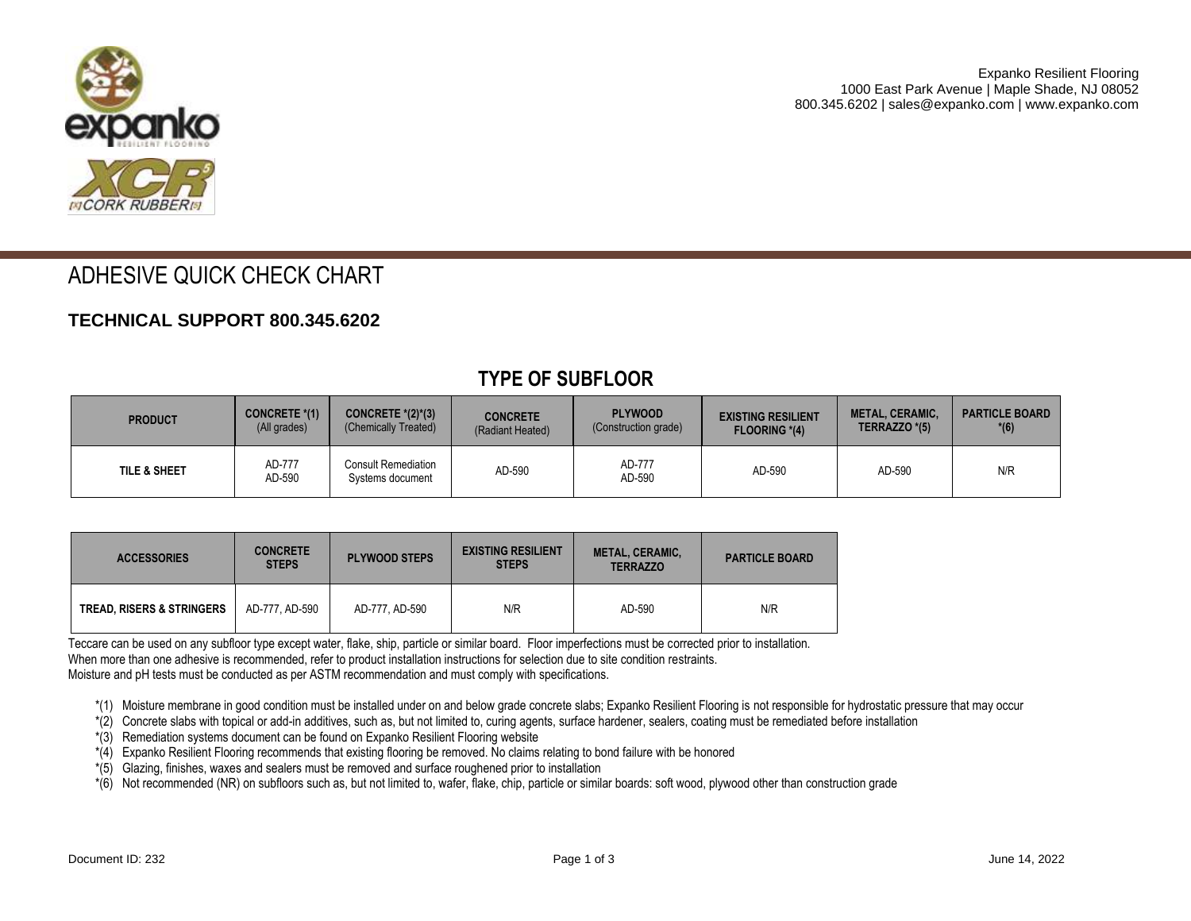

# ADHESIVE QUICK CHECK CHART

#### **TECHNICAL SUPPORT 800.345.6202**

| <b>PRODUCT</b>          | CONCRETE *(1)    | CONCRETE $*(2)^*(3)$                           | <b>CONCRETE</b>  | <b>PLYWOOD</b>       | <b>EXISTING RESILIENT</b> | <b>METAL, CERAMIC,</b> | <b>PARTICLE BOARD</b> |
|-------------------------|------------------|------------------------------------------------|------------------|----------------------|---------------------------|------------------------|-----------------------|
|                         | (All grades)     | (Chemically Treated)                           | (Radiant Heated) | (Construction grade) | <b>FLOORING *(4)</b>      | TERRAZZO *(5)          | $*(6)$                |
| <b>TILE &amp; SHEET</b> | AD-777<br>AD-590 | <b>Consult Remediation</b><br>Systems document | AD-590           | AD-777<br>AD-590     | AD-590                    | AD-590                 | N/R                   |

#### **TYPE OF SUBFLOOR**

| <b>ACCESSORIES</b>                   | <b>CONCRETE</b><br><b>STEPS</b> | <b>PLYWOOD STEPS</b> | <b>EXISTING RESILIENT</b><br><b>STEPS</b> | <b>METAL, CERAMIC,</b><br><b>TERRAZZO</b> | <b>PARTICLE BOARD</b> |
|--------------------------------------|---------------------------------|----------------------|-------------------------------------------|-------------------------------------------|-----------------------|
| <b>TREAD. RISERS &amp; STRINGERS</b> | AD-777. AD-590                  | AD-777. AD-590       | N/R                                       | AD-590                                    | N/R                   |

Teccare can be used on any subfloor type except water, flake, ship, particle or similar board. Floor imperfections must be corrected prior to installation. When more than one adhesive is recommended, refer to product installation instructions for selection due to site condition restraints. Moisture and pH tests must be conducted as per ASTM recommendation and must comply with specifications.

\*(1) Moisture membrane in good condition must be installed under on and below grade concrete slabs; Expanko Resilient Flooring is not responsible for hydrostatic pressure that may occur

\*(2) Concrete slabs with topical or add-in additives, such as, but not limited to, curing agents, surface hardener, sealers, coating must be remediated before installation

\*(3) Remediation systems document can be found on Expanko Resilient Flooring website

\*(4) Expanko Resilient Flooring recommends that existing flooring be removed. No claims relating to bond failure with be honored

\*(5) Glazing, finishes, waxes and sealers must be removed and surface roughened prior to installation

\*(6) Not recommended (NR) on subfloors such as, but not limited to, wafer, flake, chip, particle or similar boards: soft wood, plywood other than construction grade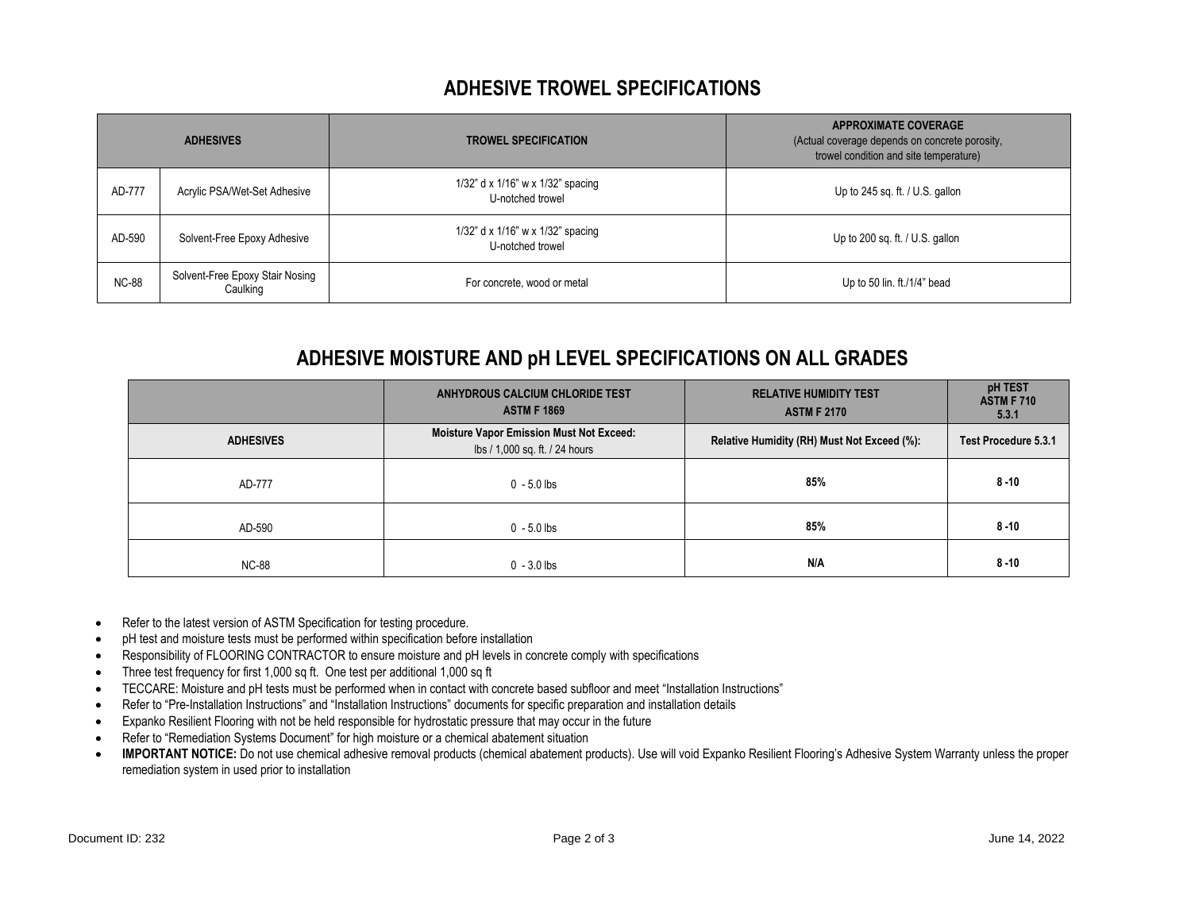### **ADHESIVE TROWEL SPECIFICATIONS**

|              | <b>ADHESIVES</b>                            | <b>TROWEL SPECIFICATION</b>                           | <b>APPROXIMATE COVERAGE</b><br>(Actual coverage depends on concrete porosity,<br>trowel condition and site temperature) |
|--------------|---------------------------------------------|-------------------------------------------------------|-------------------------------------------------------------------------------------------------------------------------|
| AD-777       | Acrylic PSA/Wet-Set Adhesive                | 1/32" d x 1/16" w x 1/32" spacing<br>U-notched trowel | Up to 245 sq. ft. $/$ U.S. gallon                                                                                       |
| AD-590       | Solvent-Free Epoxy Adhesive                 | 1/32" d x 1/16" w x 1/32" spacing<br>U-notched trowel | Up to 200 sq. ft. $/$ U.S. gallon                                                                                       |
| <b>NC-88</b> | Solvent-Free Epoxy Stair Nosing<br>Caulking | For concrete, wood or metal                           | Up to 50 lin. ft./1/4" bead                                                                                             |

## **ADHESIVE MOISTURE AND pH LEVEL SPECIFICATIONS ON ALL GRADES**

|                  | ANHYDROUS CALCIUM CHLORIDE TEST<br><b>ASTM F 1869</b>                             | <b>RELATIVE HUMIDITY TEST</b><br><b>ASTM F 2170</b> | pH TEST<br><b>ASTM F 710</b><br>5.3.1 |
|------------------|-----------------------------------------------------------------------------------|-----------------------------------------------------|---------------------------------------|
| <b>ADHESIVES</b> | <b>Moisture Vapor Emission Must Not Exceed:</b><br>lbs / 1,000 sq. ft. / 24 hours | Relative Humidity (RH) Must Not Exceed (%):         | Test Procedure 5.3.1                  |
| AD-777           | $0 - 5.0$ lbs                                                                     | 85%                                                 | $8 - 10$                              |
| AD-590           | $0 - 5.0$ lbs                                                                     | 85%                                                 | $8 - 10$                              |
| <b>NC-88</b>     | $0 - 3.0$ lbs                                                                     | N/A                                                 | $8 - 10$                              |

- Refer to the latest version of ASTM Specification for testing procedure.
- pH test and moisture tests must be performed within specification before installation
- Responsibility of FLOORING CONTRACTOR to ensure moisture and pH levels in concrete comply with specifications
- Three test frequency for first 1,000 sq ft. One test per additional 1,000 sq ft
- TECCARE: Moisture and pH tests must be performed when in contact with concrete based subfloor and meet "Installation Instructions"
- Refer to "Pre-Installation Instructions" and "Installation Instructions" documents for specific preparation and installation details
- Expanko Resilient Flooring with not be held responsible for hydrostatic pressure that may occur in the future
- Refer to "Remediation Systems Document" for high moisture or a chemical abatement situation
- IMPORTANT NOTICE: Do not use chemical adhesive removal products (chemical abatement products). Use will void Expanko Resilient Flooring's Adhesive System Warranty unless the proper remediation system in used prior to installation